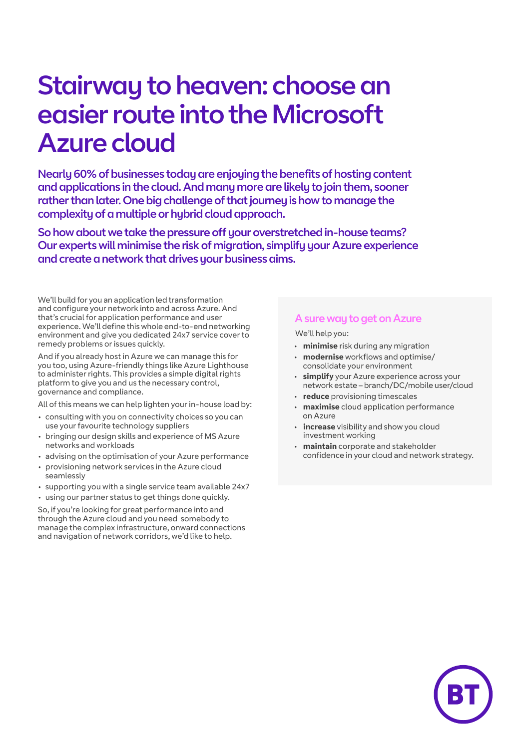# Stairway to heaven: choose an easier route into the Microsoft Azure cloud

Nearly 60% of businesses today are enjoying the benefits of hosting content and applications in the cloud. And many more are likely to join them, sooner rather than later. One big challenge of that journey is how to manage the complexity of a multiple or hybrid cloud approach.

So how about we take the pressure off your overstretched in-house teams? Our experts will minimise the risk of migration, simplify your Azure experience and create a network that drives your business aims.

We'll build for you an application led transformation and configure your network into and across Azure. And that's crucial for application performance and user experience. We'll define this whole end-to-end networking environment and give you dedicated 24x7 service cover to remedy problems or issues quickly.

And if you already host in Azure we can manage this for you too, using Azure-friendly things like Azure Lighthouse to administer rights. This provides a simple digital rights platform to give you and us the necessary control, governance and compliance.

All of this means we can help lighten your in-house load by:

- consulting with you on connectivity choices so you can use your favourite technology suppliers
- bringing our design skills and experience of MS Azure networks and workloads
- advising on the optimisation of your Azure performance
- provisioning network services in the Azure cloud seamlessly
- supporting you with a single service team available 24x7
- using our partner status to get things done quickly.

So, if you're looking for great performance into and through the Azure cloud and you need somebody to manage the complex infrastructure, onward connections and navigation of network corridors, we'd like to help.

### A sure way to get on Azure

We'll help you:

- **minimise** risk during any migration
- **modernise** workflows and optimise/ consolidate your environment
- simplify your Azure experience across your network estate – branch/DC/mobile user/cloud
- **reduce** provisioning timescales
- **maximise** cloud application performance on Azure
- **increase** visibility and show you cloud investment working
- **maintain** corporate and stakeholder confidence in your cloud and network strategy.